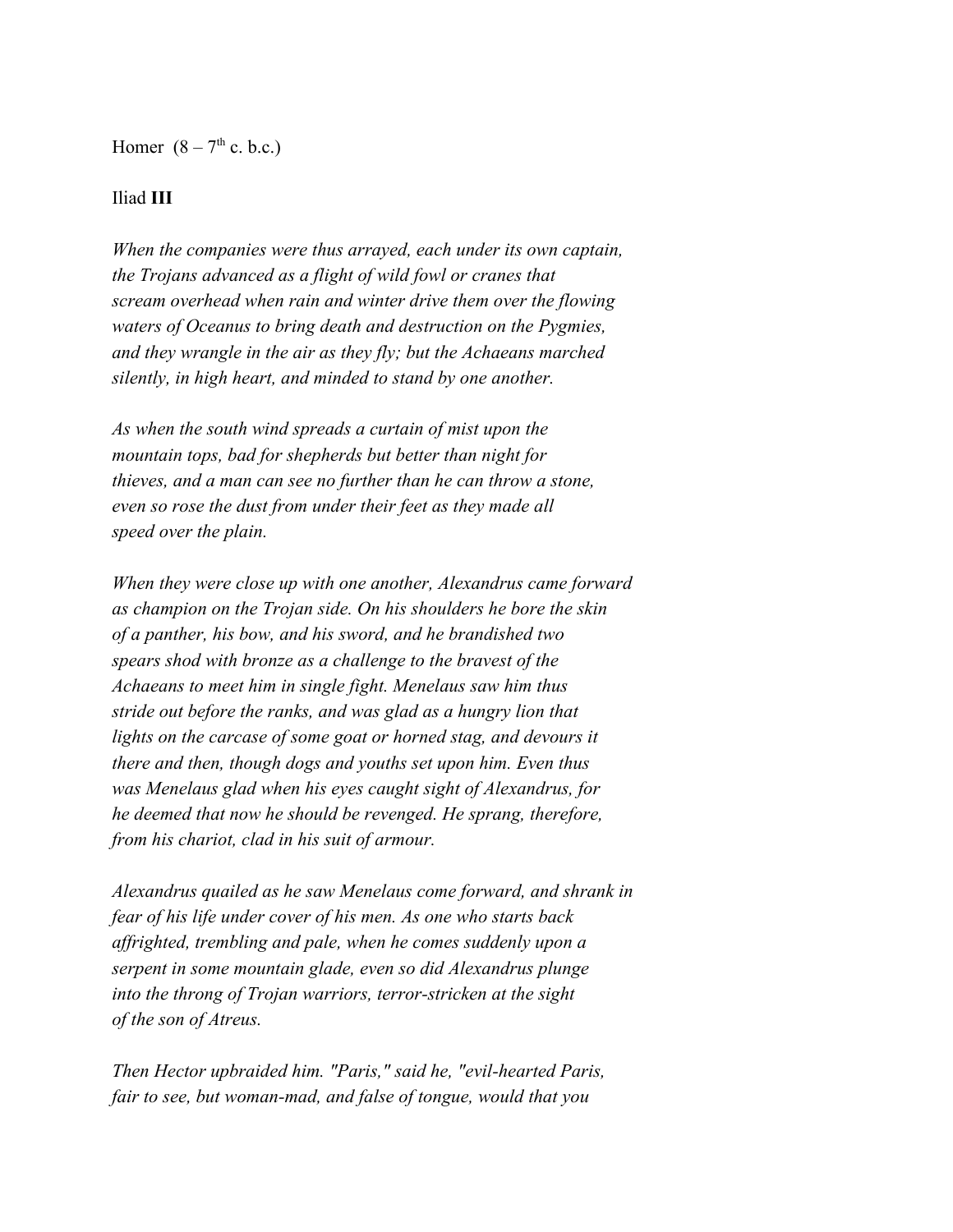Homer  $(8 - 7<sup>th</sup>$  c. b.c.)

## Iliad **III**

*When the companies were thus arrayed, each under its own captain, the Trojans advanced as a flight of wild fowl or cranes that scream overhead when rain and winter drive them over the flowing waters of Oceanus to bring death and destruction on the Pygmies, and they wrangle in the air as they fly; but the Achaeans marched silently, in high heart, and minded to stand by one another.*

*As when the south wind spreads a curtain of mist upon the mountain tops, bad for shepherds but better than night for thieves, and a man can see no further than he can throw a stone, even so rose the dust from under their feet as they made all speed over the plain.*

*When they were close up with one another, Alexandrus came forward as champion on the Trojan side. On his shoulders he bore the skin of a panther, his bow, and his sword, and he brandished two spears shod with bronze as a challenge to the bravest of the Achaeans to meet him in single fight. Menelaus saw him thus stride out before the ranks, and was glad as a hungry lion that lights on the carcase of some goat or horned stag, and devours it there and then, though dogs and youths set upon him. Even thus was Menelaus glad when his eyes caught sight of Alexandrus, for he deemed that now he should be revenged. He sprang, therefore, from his chariot, clad in his suit of armour.*

*Alexandrus quailed as he saw Menelaus come forward, and shrank in fear of his life under cover of his men. As one who starts back affrighted, trembling and pale, when he comes suddenly upon a serpent in some mountain glade, even so did Alexandrus plunge into the throng of Trojan warriors, terror-stricken at the sight of the son of Atreus.*

*Then Hector upbraided him. "Paris," said he, "evil-hearted Paris, fair to see, but woman-mad, and false of tongue, would that you*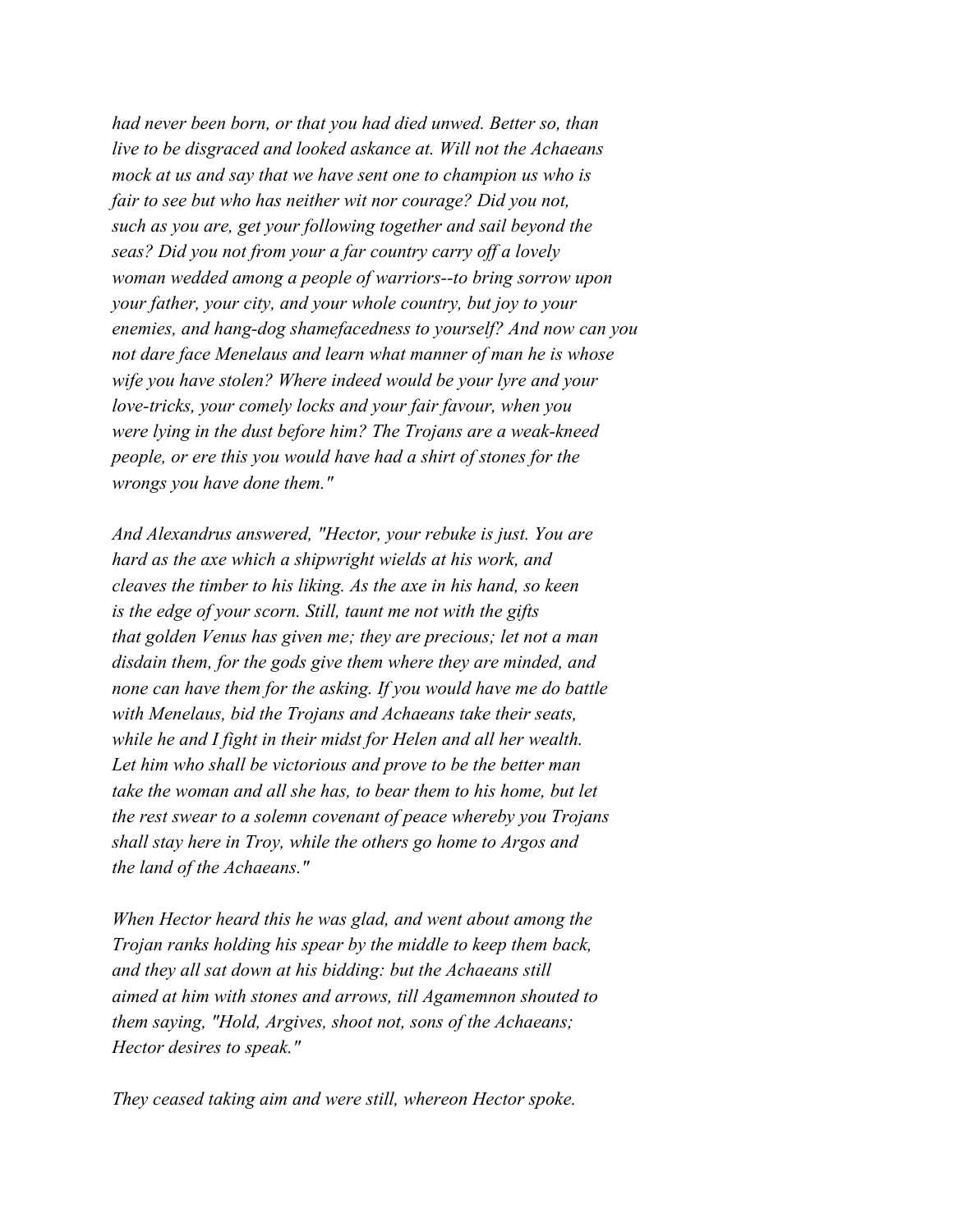*had never been born, or that you had died unwed. Better so, than live to be disgraced and looked askance at. Will not the Achaeans mock at us and say that we have sent one to champion us who is fair to see but who has neither wit nor courage? Did you not, such as you are, get your following together and sail beyond the seas? Did you not from your a far country carry off a lovely woman wedded among a people of warriors--to bring sorrow upon your father, your city, and your whole country, but joy to your enemies, and hang-dog shamefacedness to yourself? And now can you not dare face Menelaus and learn what manner of man he is whose wife you have stolen? Where indeed would be your lyre and your love-tricks, your comely locks and your fair favour, when you were lying in the dust before him? The Trojans are a weak-kneed people, or ere this you would have had a shirt of stones for the wrongs you have done them."*

*And Alexandrus answered, "Hector, your rebuke is just. You are hard as the axe which a shipwright wields at his work, and cleaves the timber to his liking. As the axe in his hand, so keen is the edge of your scorn. Still, taunt me not with the gifts that golden Venus has given me; they are precious; let not a man disdain them, for the gods give them where they are minded, and none can have them for the asking. If you would have me do battle with Menelaus, bid the Trojans and Achaeans take their seats, while he and I fight in their midst for Helen and all her wealth. Let him who shall be victorious and prove to be the better man take the woman and all she has, to bear them to his home, but let the rest swear to a solemn covenant of peace whereby you Trojans shall stay here in Troy, while the others go home to Argos and the land of the Achaeans."*

*When Hector heard this he was glad, and went about among the Trojan ranks holding his spear by the middle to keep them back, and they all sat down at his bidding: but the Achaeans still aimed at him with stones and arrows, till Agamemnon shouted to them saying, "Hold, Argives, shoot not, sons of the Achaeans; Hector desires to speak."*

*They ceased taking aim and were still, whereon Hector spoke.*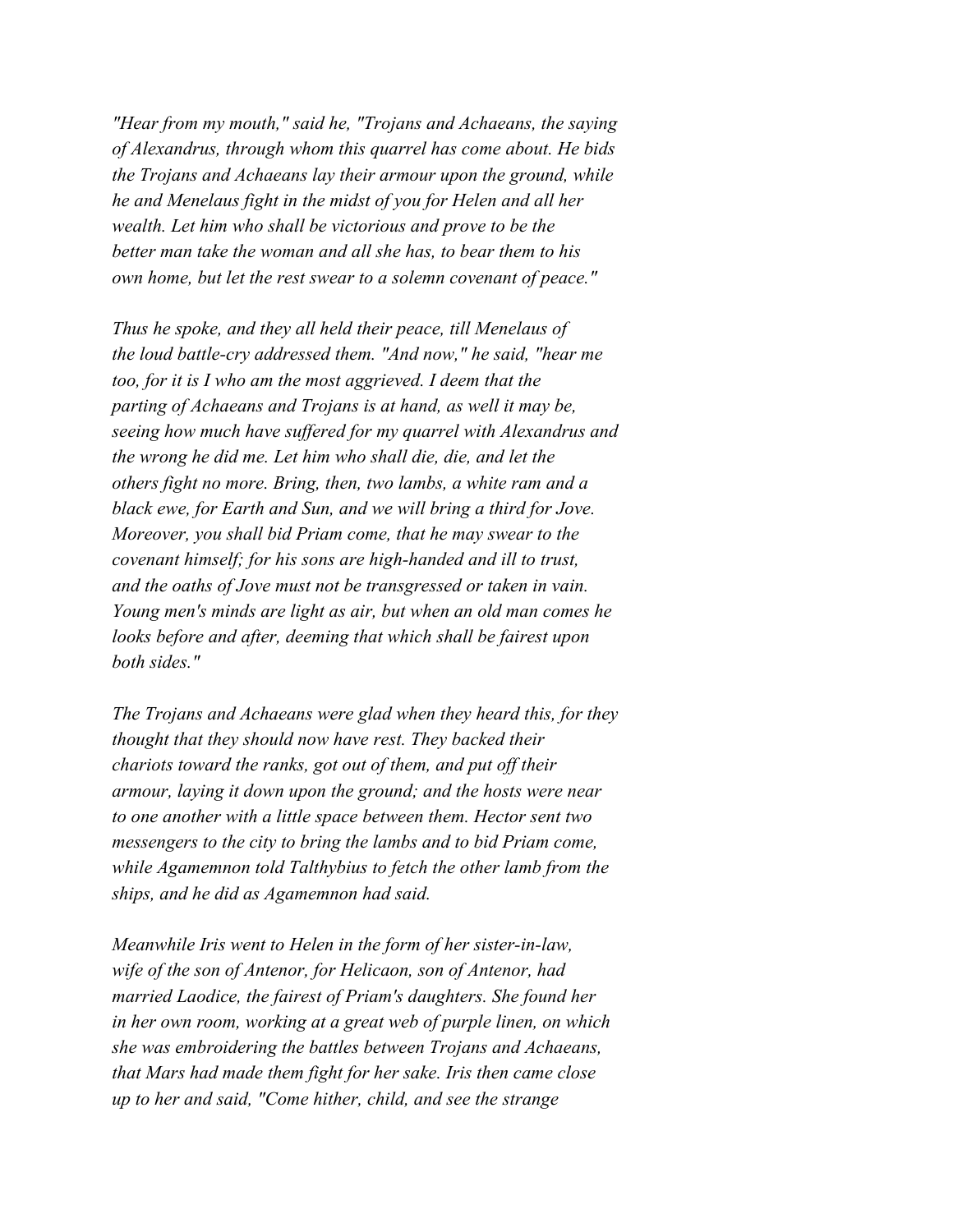*"Hear from my mouth," said he, "Trojans and Achaeans, the saying of Alexandrus, through whom this quarrel has come about. He bids the Trojans and Achaeans lay their armour upon the ground, while he and Menelaus fight in the midst of you for Helen and all her wealth. Let him who shall be victorious and prove to be the better man take the woman and all she has, to bear them to his own home, but let the rest swear to a solemn covenant of peace."*

*Thus he spoke, and they all held their peace, till Menelaus of the loud battle-cry addressed them. "And now," he said, "hear me too, for it is I who am the most aggrieved. I deem that the parting of Achaeans and Trojans is at hand, as well it may be, seeing how much have suffered for my quarrel with Alexandrus and the wrong he did me. Let him who shall die, die, and let the others fight no more. Bring, then, two lambs, a white ram and a black ewe, for Earth and Sun, and we will bring a third for Jove. Moreover, you shall bid Priam come, that he may swear to the covenant himself; for his sons are high-handed and ill to trust, and the oaths of Jove must not be transgressed or taken in vain. Young men's minds are light as air, but when an old man comes he looks before and after, deeming that which shall be fairest upon both sides."*

*The Trojans and Achaeans were glad when they heard this, for they thought that they should now have rest. They backed their chariots toward the ranks, got out of them, and put off their armour, laying it down upon the ground; and the hosts were near to one another with a little space between them. Hector sent two messengers to the city to bring the lambs and to bid Priam come, while Agamemnon told Talthybius to fetch the other lamb from the ships, and he did as Agamemnon had said.*

*Meanwhile Iris went to Helen in the form of her sister-in-law, wife of the son of Antenor, for Helicaon, son of Antenor, had married Laodice, the fairest of Priam's daughters. She found her in her own room, working at a great web of purple linen, on which she was embroidering the battles between Trojans and Achaeans, that Mars had made them fight for her sake. Iris then came close up to her and said, "Come hither, child, and see the strange*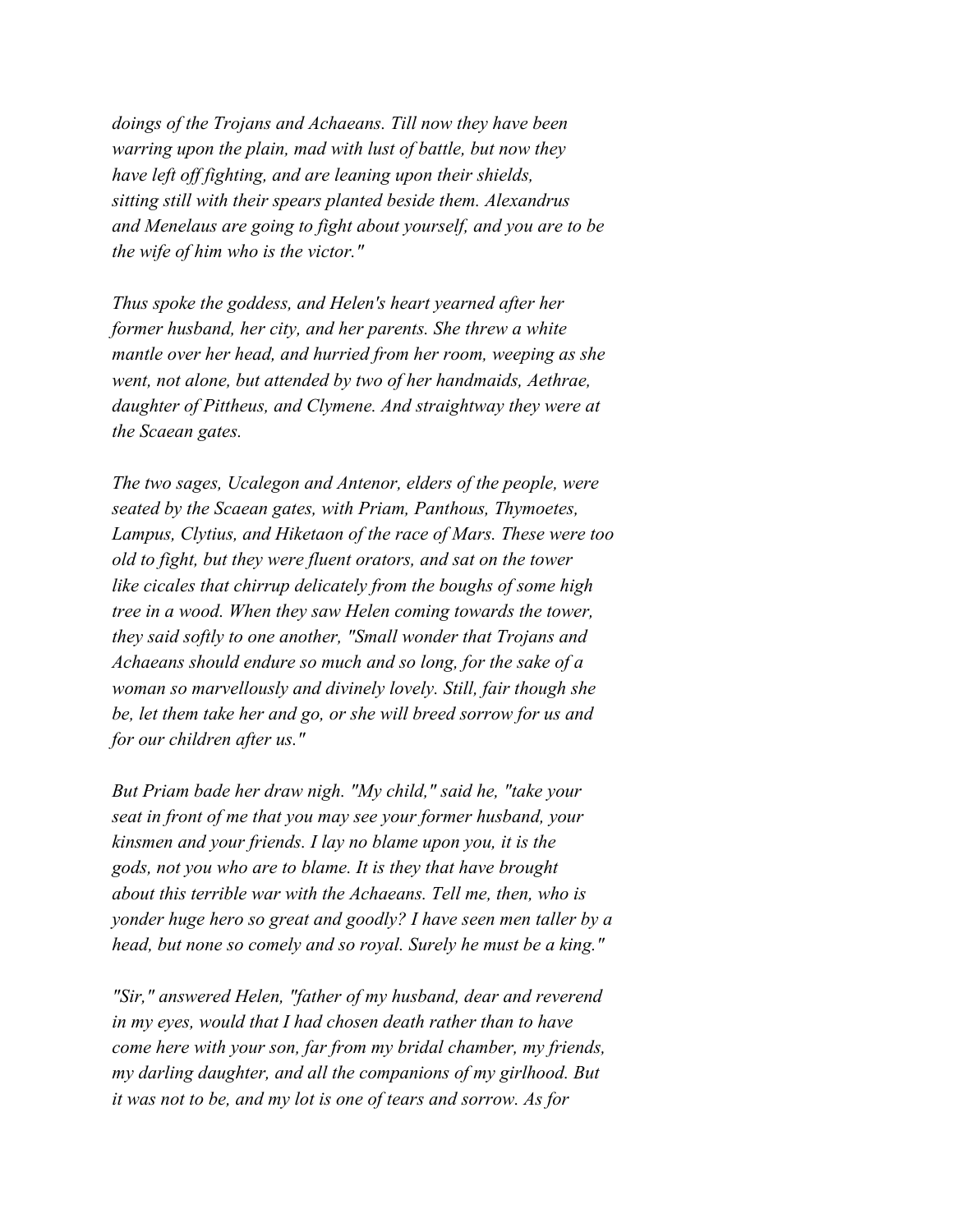*doings of the Trojans and Achaeans. Till now they have been warring upon the plain, mad with lust of battle, but now they have left off fighting, and are leaning upon their shields, sitting still with their spears planted beside them. Alexandrus and Menelaus are going to fight about yourself, and you are to be the wife of him who is the victor."*

*Thus spoke the goddess, and Helen's heart yearned after her former husband, her city, and her parents. She threw a white mantle over her head, and hurried from her room, weeping as she went, not alone, but attended by two of her handmaids, Aethrae, daughter of Pittheus, and Clymene. And straightway they were at the Scaean gates.*

*The two sages, Ucalegon and Antenor, elders of the people, were seated by the Scaean gates, with Priam, Panthous, Thymoetes, Lampus, Clytius, and Hiketaon of the race of Mars. These were too old to fight, but they were fluent orators, and sat on the tower like cicales that chirrup delicately from the boughs of some high tree in a wood. When they saw Helen coming towards the tower, they said softly to one another, "Small wonder that Trojans and Achaeans should endure so much and so long, for the sake of a woman so marvellously and divinely lovely. Still, fair though she be, let them take her and go, or she will breed sorrow for us and for our children after us."*

*But Priam bade her draw nigh. "My child," said he, "take your seat in front of me that you may see your former husband, your kinsmen and your friends. I lay no blame upon you, it is the gods, not you who are to blame. It is they that have brought about this terrible war with the Achaeans. Tell me, then, who is yonder huge hero so great and goodly? I have seen men taller by a head, but none so comely and so royal. Surely he must be a king."*

*"Sir," answered Helen, "father of my husband, dear and reverend in my eyes, would that I had chosen death rather than to have come here with your son, far from my bridal chamber, my friends, my darling daughter, and all the companions of my girlhood. But it was not to be, and my lot is one of tears and sorrow. As for*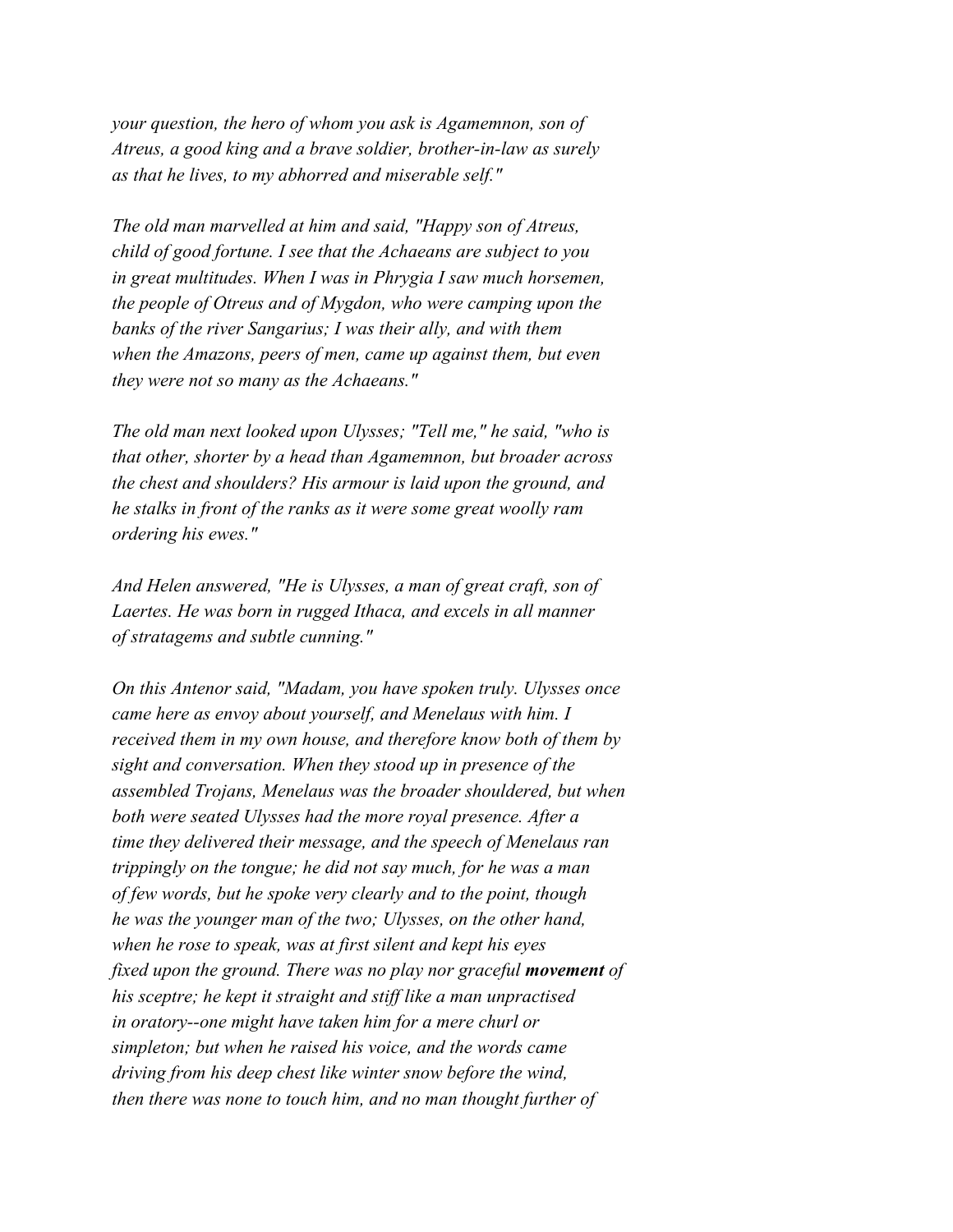*your question, the hero of whom you ask is Agamemnon, son of Atreus, a good king and a brave soldier, brother-in-law as surely as that he lives, to my abhorred and miserable self."*

*The old man marvelled at him and said, "Happy son of Atreus, child of good fortune. I see that the Achaeans are subject to you in great multitudes. When I was in Phrygia I saw much horsemen, the people of Otreus and of Mygdon, who were camping upon the banks of the river Sangarius; I was their ally, and with them when the Amazons, peers of men, came up against them, but even they were not so many as the Achaeans."*

*The old man next looked upon Ulysses; "Tell me," he said, "who is that other, shorter by a head than Agamemnon, but broader across the chest and shoulders? His armour is laid upon the ground, and he stalks in front of the ranks as it were some great woolly ram ordering his ewes."*

*And Helen answered, "He is Ulysses, a man of great craft, son of Laertes. He was born in rugged Ithaca, and excels in all manner of stratagems and subtle cunning."*

*On this Antenor said, "Madam, you have spoken truly. Ulysses once came here as envoy about yourself, and Menelaus with him. I received them in my own house, and therefore know both of them by sight and conversation. When they stood up in presence of the assembled Trojans, Menelaus was the broader shouldered, but when both were seated Ulysses had the more royal presence. After a time they delivered their message, and the speech of Menelaus ran trippingly on the tongue; he did not say much, for he was a man of few words, but he spoke very clearly and to the point, though he was the younger man of the two; Ulysses, on the other hand, when he rose to speak, was at first silent and kept his eyes fixed upon the ground. There was no play nor graceful movement of his sceptre; he kept it straight and stiff like a man unpractised in oratory--one might have taken him for a mere churl or simpleton; but when he raised his voice, and the words came driving from his deep chest like winter snow before the wind, then there was none to touch him, and no man thought further of*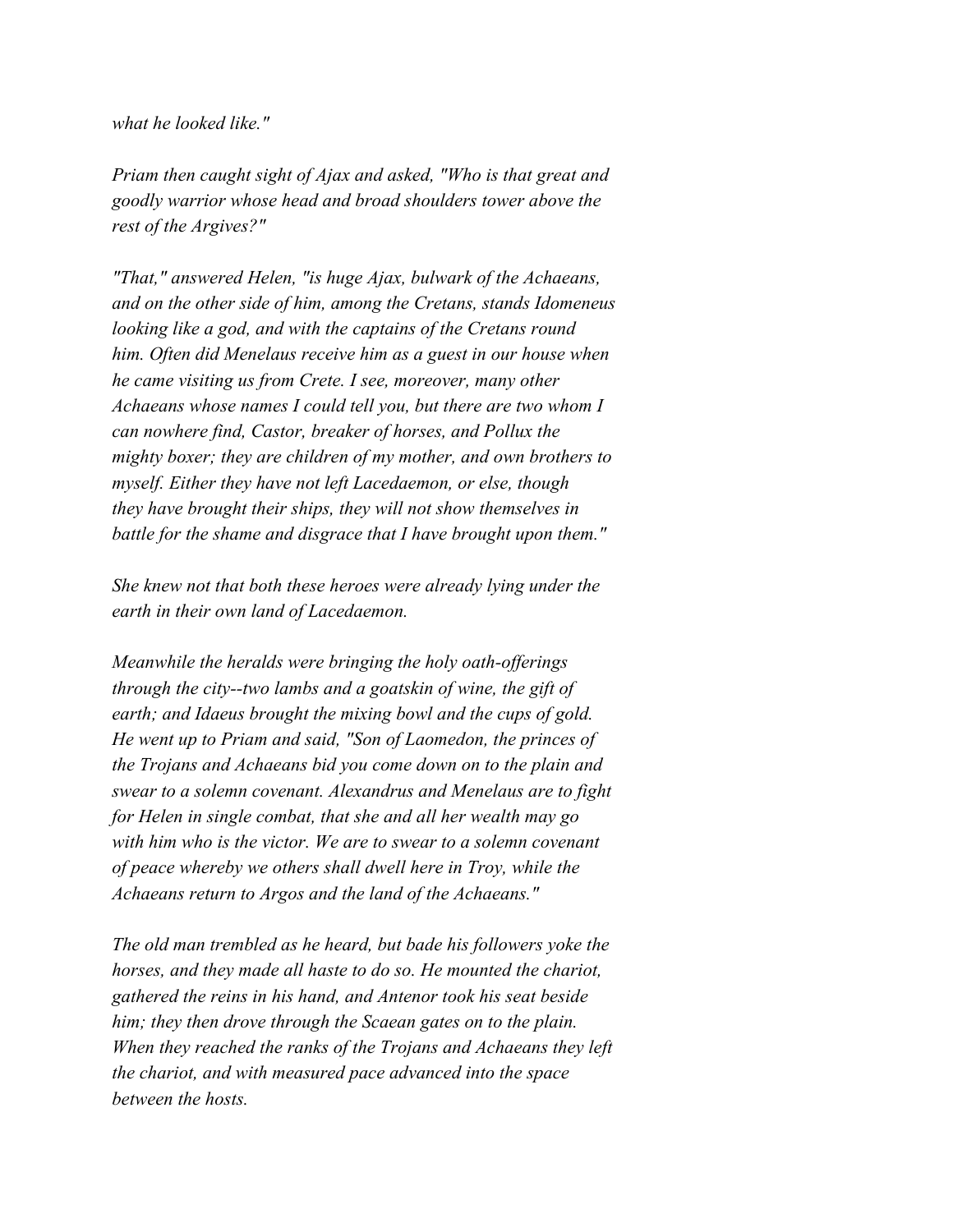## *what he looked like."*

*Priam then caught sight of Ajax and asked, "Who is that great and goodly warrior whose head and broad shoulders tower above the rest of the Argives?"*

*"That," answered Helen, "is huge Ajax, bulwark of the Achaeans, and on the other side of him, among the Cretans, stands Idomeneus looking like a god, and with the captains of the Cretans round him. Often did Menelaus receive him as a guest in our house when he came visiting us from Crete. I see, moreover, many other Achaeans whose names I could tell you, but there are two whom I can nowhere find, Castor, breaker of horses, and Pollux the mighty boxer; they are children of my mother, and own brothers to myself. Either they have not left Lacedaemon, or else, though they have brought their ships, they will not show themselves in battle for the shame and disgrace that I have brought upon them."*

*She knew not that both these heroes were already lying under the earth in their own land of Lacedaemon.*

*Meanwhile the heralds were bringing the holy oath-offerings through the city--two lambs and a goatskin of wine, the gift of earth; and Idaeus brought the mixing bowl and the cups of gold. He went up to Priam and said, "Son of Laomedon, the princes of the Trojans and Achaeans bid you come down on to the plain and swear to a solemn covenant. Alexandrus and Menelaus are to fight for Helen in single combat, that she and all her wealth may go with him who is the victor. We are to swear to a solemn covenant of peace whereby we others shall dwell here in Troy, while the Achaeans return to Argos and the land of the Achaeans."*

*The old man trembled as he heard, but bade his followers yoke the horses, and they made all haste to do so. He mounted the chariot, gathered the reins in his hand, and Antenor took his seat beside him; they then drove through the Scaean gates on to the plain. When they reached the ranks of the Trojans and Achaeans they left the chariot, and with measured pace advanced into the space between the hosts.*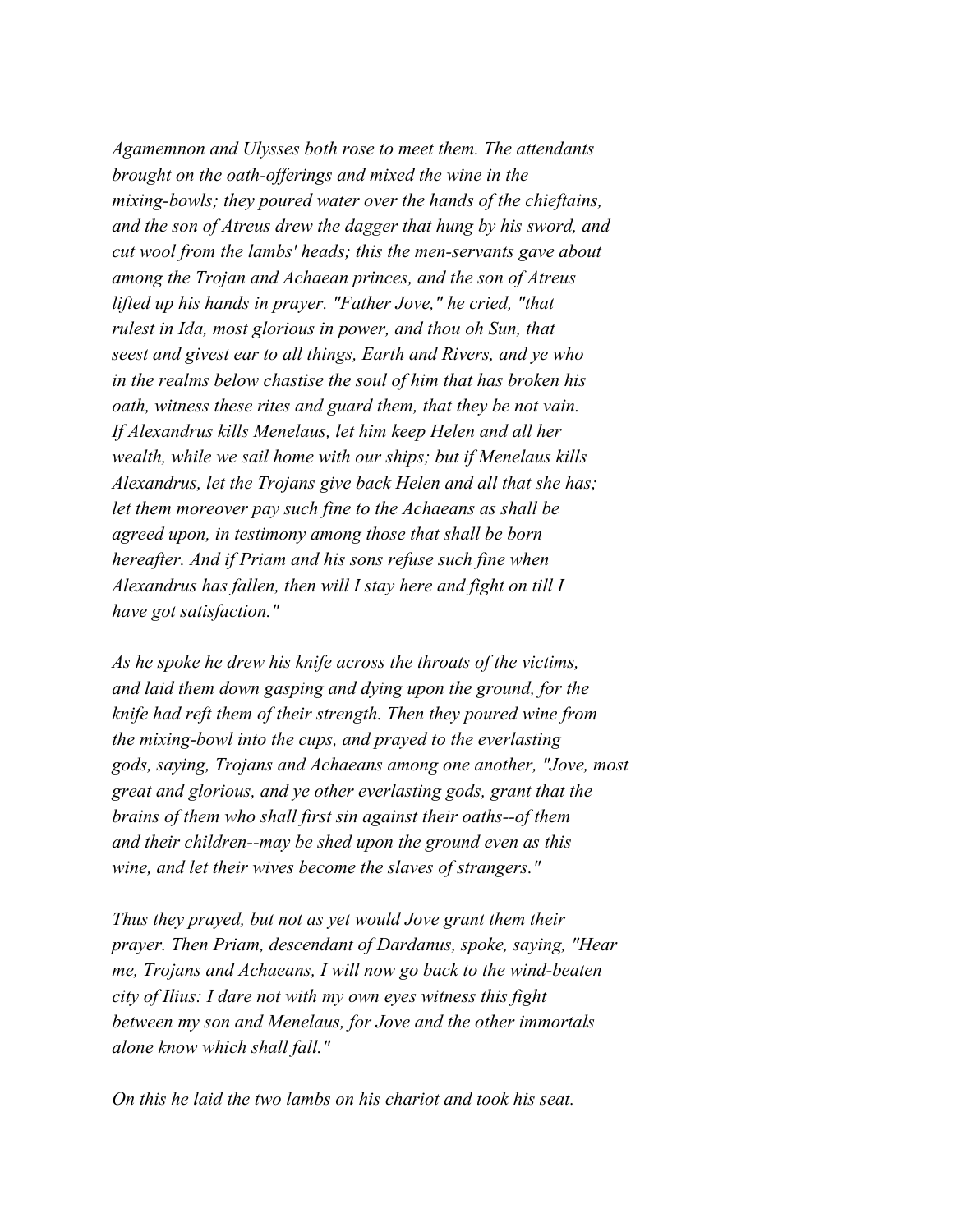*Agamemnon and Ulysses both rose to meet them. The attendants brought on the oath-offerings and mixed the wine in the mixing-bowls; they poured water over the hands of the chieftains, and the son of Atreus drew the dagger that hung by his sword, and cut wool from the lambs' heads; this the men-servants gave about among the Trojan and Achaean princes, and the son of Atreus lifted up his hands in prayer. "Father Jove," he cried, "that rulest in Ida, most glorious in power, and thou oh Sun, that seest and givest ear to all things, Earth and Rivers, and ye who in the realms below chastise the soul of him that has broken his oath, witness these rites and guard them, that they be not vain. If Alexandrus kills Menelaus, let him keep Helen and all her wealth, while we sail home with our ships; but if Menelaus kills Alexandrus, let the Trojans give back Helen and all that she has; let them moreover pay such fine to the Achaeans as shall be agreed upon, in testimony among those that shall be born hereafter. And if Priam and his sons refuse such fine when Alexandrus has fallen, then will I stay here and fight on till I have got satisfaction."*

*As he spoke he drew his knife across the throats of the victims, and laid them down gasping and dying upon the ground, for the knife had reft them of their strength. Then they poured wine from the mixing-bowl into the cups, and prayed to the everlasting gods, saying, Trojans and Achaeans among one another, "Jove, most great and glorious, and ye other everlasting gods, grant that the brains of them who shall first sin against their oaths--of them and their children--may be shed upon the ground even as this wine, and let their wives become the slaves of strangers."*

*Thus they prayed, but not as yet would Jove grant them their prayer. Then Priam, descendant of Dardanus, spoke, saying, "Hear me, Trojans and Achaeans, I will now go back to the wind-beaten city of Ilius: I dare not with my own eyes witness this fight between my son and Menelaus, for Jove and the other immortals alone know which shall fall."*

*On this he laid the two lambs on his chariot and took his seat.*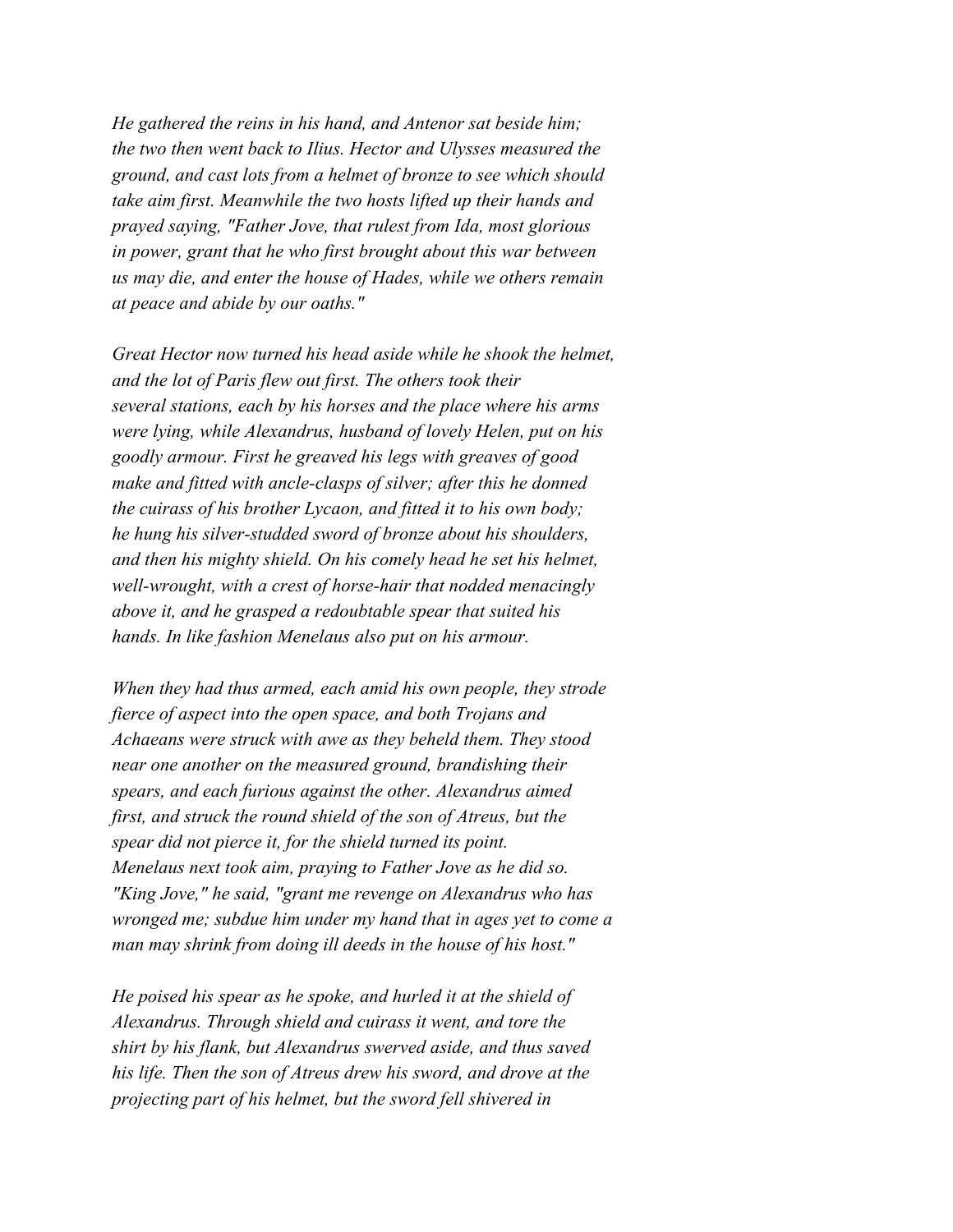*He gathered the reins in his hand, and Antenor sat beside him; the two then went back to Ilius. Hector and Ulysses measured the ground, and cast lots from a helmet of bronze to see which should take aim first. Meanwhile the two hosts lifted up their hands and prayed saying, "Father Jove, that rulest from Ida, most glorious in power, grant that he who first brought about this war between us may die, and enter the house of Hades, while we others remain at peace and abide by our oaths."*

*Great Hector now turned his head aside while he shook the helmet, and the lot of Paris flew out first. The others took their several stations, each by his horses and the place where his arms were lying, while Alexandrus, husband of lovely Helen, put on his goodly armour. First he greaved his legs with greaves of good make and fitted with ancle-clasps of silver; after this he donned the cuirass of his brother Lycaon, and fitted it to his own body; he hung his silver-studded sword of bronze about his shoulders, and then his mighty shield. On his comely head he set his helmet, well-wrought, with a crest of horse-hair that nodded menacingly above it, and he grasped a redoubtable spear that suited his hands. In like fashion Menelaus also put on his armour.*

*When they had thus armed, each amid his own people, they strode fierce of aspect into the open space, and both Trojans and Achaeans were struck with awe as they beheld them. They stood near one another on the measured ground, brandishing their spears, and each furious against the other. Alexandrus aimed first, and struck the round shield of the son of Atreus, but the spear did not pierce it, for the shield turned its point. Menelaus next took aim, praying to Father Jove as he did so. "King Jove," he said, "grant me revenge on Alexandrus who has wronged me; subdue him under my hand that in ages yet to come a man may shrink from doing ill deeds in the house of his host."*

*He poised his spear as he spoke, and hurled it at the shield of Alexandrus. Through shield and cuirass it went, and tore the shirt by his flank, but Alexandrus swerved aside, and thus saved his life. Then the son of Atreus drew his sword, and drove at the projecting part of his helmet, but the sword fell shivered in*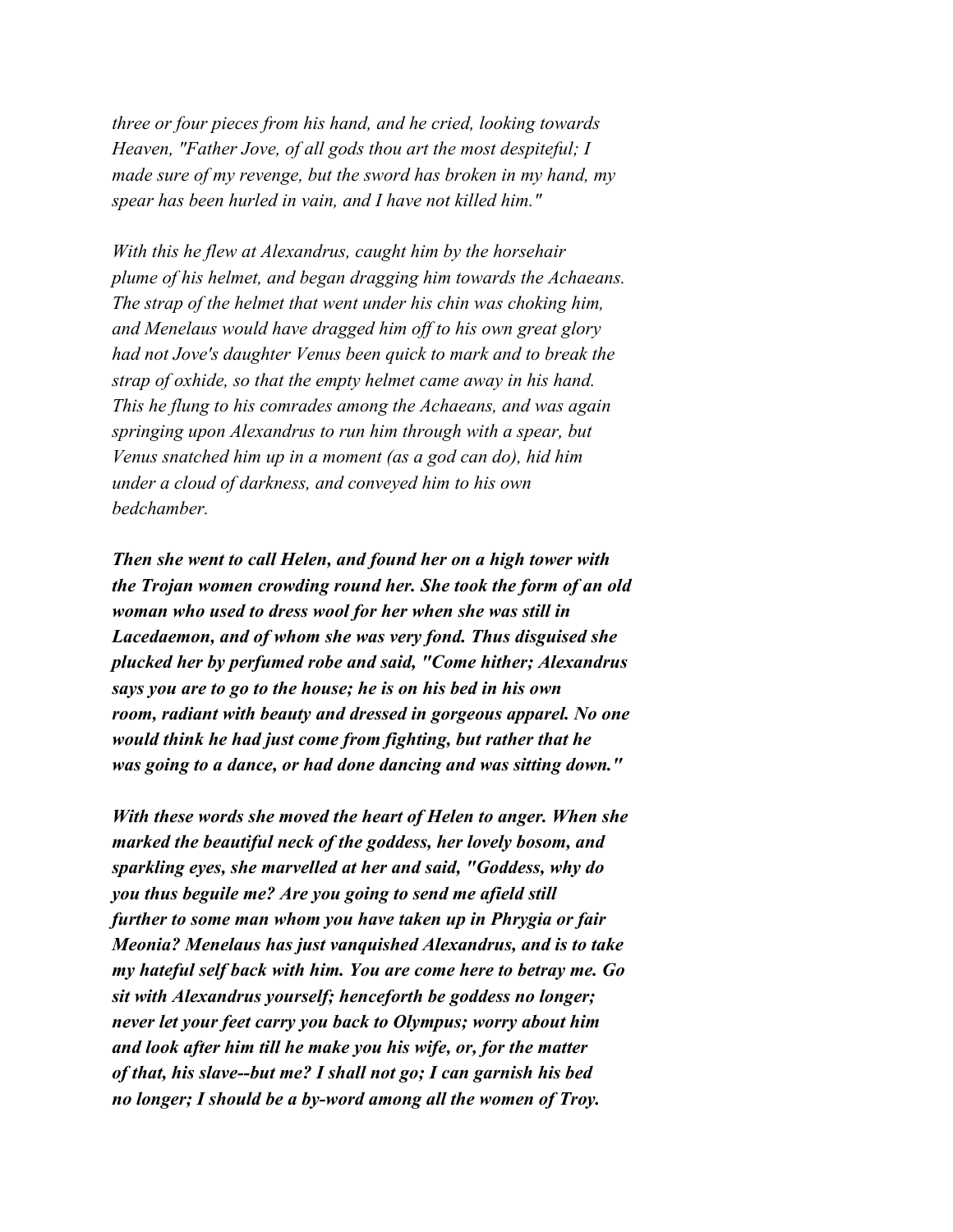*three or four pieces from his hand, and he cried, looking towards Heaven, "Father Jove, of all gods thou art the most despiteful; I made sure of my revenge, but the sword has broken in my hand, my spear has been hurled in vain, and I have not killed him."*

*With this he flew at Alexandrus, caught him by the horsehair plume of his helmet, and began dragging him towards the Achaeans. The strap of the helmet that went under his chin was choking him, and Menelaus would have dragged him off to his own great glory had not Jove's daughter Venus been quick to mark and to break the strap of oxhide, so that the empty helmet came away in his hand. This he flung to his comrades among the Achaeans, and was again springing upon Alexandrus to run him through with a spear, but Venus snatched him up in a moment (as a god can do), hid him under a cloud of darkness, and conveyed him to his own bedchamber.*

*Then she went to call Helen, and found her on a high tower with the Trojan women crowding round her. She took the form of an old woman who used to dress wool for her when she was still in Lacedaemon, and of whom she was very fond. Thus disguised she plucked her by perfumed robe and said, "Come hither; Alexandrus says you are to go to the house; he is on his bed in his own room, radiant with beauty and dressed in gorgeous apparel. No one would think he had just come from fighting, but rather that he was going to a dance, or had done dancing and was sitting down."*

*With these words she moved the heart of Helen to anger. When she marked the beautiful neck of the goddess, her lovely bosom, and sparkling eyes, she marvelled at her and said, "Goddess, why do you thus beguile me? Are you going to send me afield still further to some man whom you have taken up in Phrygia or fair Meonia? Menelaus has just vanquished Alexandrus, and is to take my hateful self back with him. You are come here to betray me. Go sit with Alexandrus yourself; henceforth be goddess no longer; never let your feet carry you back to Olympus; worry about him and look after him till he make you his wife, or, for the matter of that, his slave--but me? I shall not go; I can garnish his bed no longer; I should be a by-word among all the women of Troy.*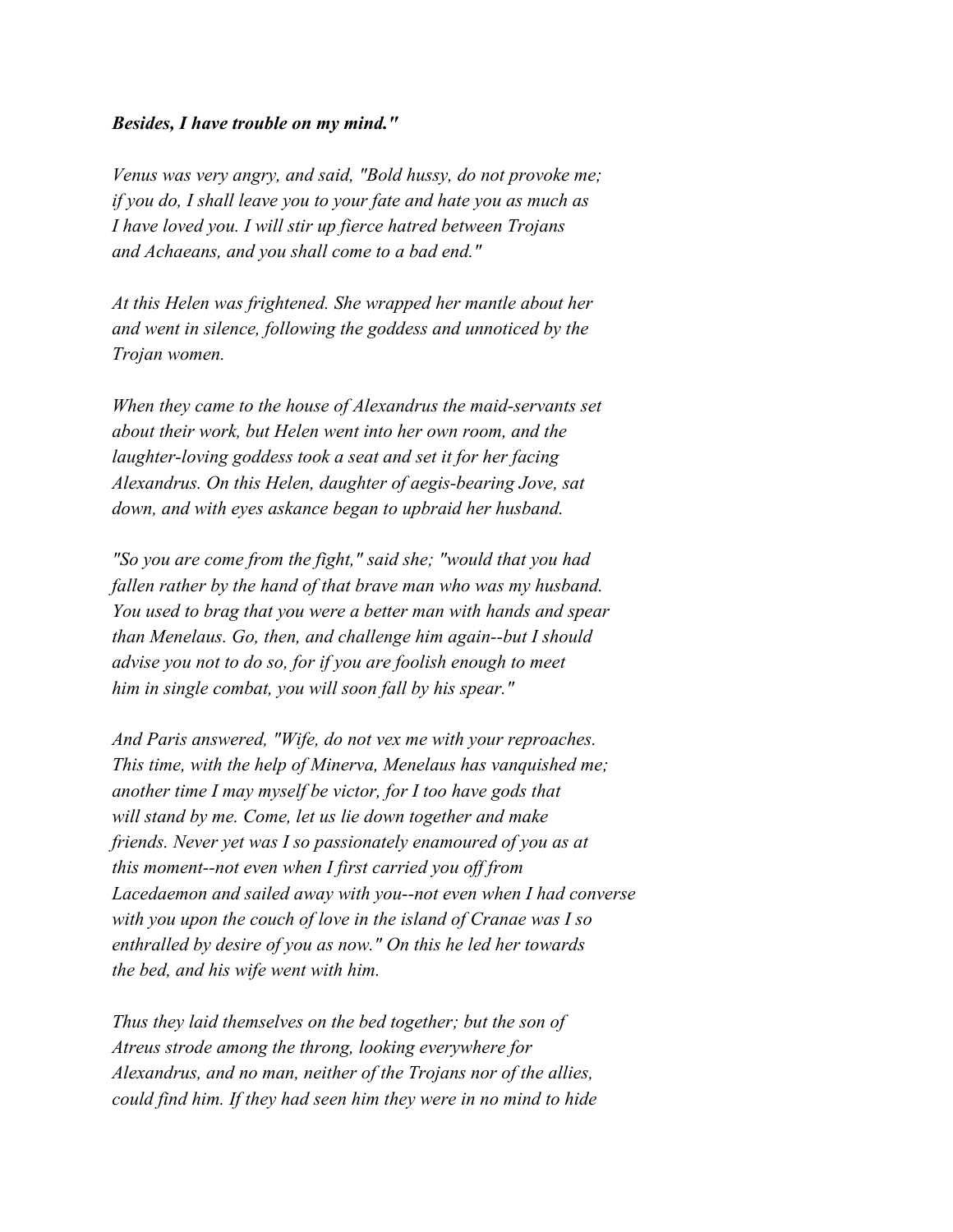## *Besides, I have trouble on my mind."*

*Venus was very angry, and said, "Bold hussy, do not provoke me; if you do, I shall leave you to your fate and hate you as much as I have loved you. I will stir up fierce hatred between Trojans and Achaeans, and you shall come to a bad end."*

*At this Helen was frightened. She wrapped her mantle about her and went in silence, following the goddess and unnoticed by the Trojan women.*

*When they came to the house of Alexandrus the maid-servants set about their work, but Helen went into her own room, and the laughter-loving goddess took a seat and set it for her facing Alexandrus. On this Helen, daughter of aegis-bearing Jove, sat down, and with eyes askance began to upbraid her husband.*

*"So you are come from the fight," said she; "would that you had fallen rather by the hand of that brave man who was my husband. You used to brag that you were a better man with hands and spear than Menelaus. Go, then, and challenge him again--but I should advise you not to do so, for if you are foolish enough to meet him in single combat, you will soon fall by his spear."*

*And Paris answered, "Wife, do not vex me with your reproaches. This time, with the help of Minerva, Menelaus has vanquished me; another time I may myself be victor, for I too have gods that will stand by me. Come, let us lie down together and make friends. Never yet was I so passionately enamoured of you as at this moment--not even when I first carried you off from Lacedaemon and sailed away with you--not even when I had converse with you upon the couch of love in the island of Cranae was I so enthralled by desire of you as now." On this he led her towards the bed, and his wife went with him.*

*Thus they laid themselves on the bed together; but the son of Atreus strode among the throng, looking everywhere for Alexandrus, and no man, neither of the Trojans nor of the allies, could find him. If they had seen him they were in no mind to hide*